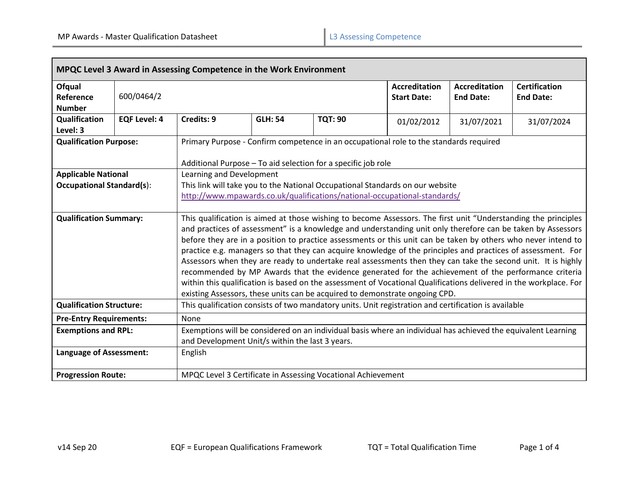Г

| MPQC Level 3 Award in Assessing Competence in the Work Environment |                     |                                                                                                                                                                                                                                                                                                                                                                                                                                                                                                                                                                                                                                                                                                                                                                                                                                                                                            |                |                |                                            |                                          |                                          |  |  |  |
|--------------------------------------------------------------------|---------------------|--------------------------------------------------------------------------------------------------------------------------------------------------------------------------------------------------------------------------------------------------------------------------------------------------------------------------------------------------------------------------------------------------------------------------------------------------------------------------------------------------------------------------------------------------------------------------------------------------------------------------------------------------------------------------------------------------------------------------------------------------------------------------------------------------------------------------------------------------------------------------------------------|----------------|----------------|--------------------------------------------|------------------------------------------|------------------------------------------|--|--|--|
| Ofqual<br>Reference<br><b>Number</b>                               | 600/0464/2          |                                                                                                                                                                                                                                                                                                                                                                                                                                                                                                                                                                                                                                                                                                                                                                                                                                                                                            |                |                | <b>Accreditation</b><br><b>Start Date:</b> | <b>Accreditation</b><br><b>End Date:</b> | <b>Certification</b><br><b>End Date:</b> |  |  |  |
| Qualification<br>Level: 3                                          | <b>EQF Level: 4</b> | Credits: 9                                                                                                                                                                                                                                                                                                                                                                                                                                                                                                                                                                                                                                                                                                                                                                                                                                                                                 | <b>GLH: 54</b> | <b>TQT: 90</b> | 01/02/2012                                 | 31/07/2021                               | 31/07/2024                               |  |  |  |
| <b>Qualification Purpose:</b>                                      |                     | Primary Purpose - Confirm competence in an occupational role to the standards required<br>Additional Purpose - To aid selection for a specific job role                                                                                                                                                                                                                                                                                                                                                                                                                                                                                                                                                                                                                                                                                                                                    |                |                |                                            |                                          |                                          |  |  |  |
| <b>Applicable National</b><br><b>Occupational Standard(s):</b>     |                     | Learning and Development<br>This link will take you to the National Occupational Standards on our website<br>http://www.mpawards.co.uk/qualifications/national-occupational-standards/                                                                                                                                                                                                                                                                                                                                                                                                                                                                                                                                                                                                                                                                                                     |                |                |                                            |                                          |                                          |  |  |  |
| <b>Qualification Summary:</b>                                      |                     | This qualification is aimed at those wishing to become Assessors. The first unit "Understanding the principles<br>and practices of assessment" is a knowledge and understanding unit only therefore can be taken by Assessors<br>before they are in a position to practice assessments or this unit can be taken by others who never intend to<br>practice e.g. managers so that they can acquire knowledge of the principles and practices of assessment. For<br>Assessors when they are ready to undertake real assessments then they can take the second unit. It is highly<br>recommended by MP Awards that the evidence generated for the achievement of the performance criteria<br>within this qualification is based on the assessment of Vocational Qualifications delivered in the workplace. For<br>existing Assessors, these units can be acquired to demonstrate ongoing CPD. |                |                |                                            |                                          |                                          |  |  |  |
| <b>Qualification Structure:</b>                                    |                     | This qualification consists of two mandatory units. Unit registration and certification is available                                                                                                                                                                                                                                                                                                                                                                                                                                                                                                                                                                                                                                                                                                                                                                                       |                |                |                                            |                                          |                                          |  |  |  |
| <b>Pre-Entry Requirements:</b>                                     |                     | None                                                                                                                                                                                                                                                                                                                                                                                                                                                                                                                                                                                                                                                                                                                                                                                                                                                                                       |                |                |                                            |                                          |                                          |  |  |  |
| <b>Exemptions and RPL:</b>                                         |                     | Exemptions will be considered on an individual basis where an individual has achieved the equivalent Learning<br>and Development Unit/s within the last 3 years.                                                                                                                                                                                                                                                                                                                                                                                                                                                                                                                                                                                                                                                                                                                           |                |                |                                            |                                          |                                          |  |  |  |
| <b>Language of Assessment:</b>                                     |                     | English                                                                                                                                                                                                                                                                                                                                                                                                                                                                                                                                                                                                                                                                                                                                                                                                                                                                                    |                |                |                                            |                                          |                                          |  |  |  |
| <b>Progression Route:</b>                                          |                     | MPQC Level 3 Certificate in Assessing Vocational Achievement                                                                                                                                                                                                                                                                                                                                                                                                                                                                                                                                                                                                                                                                                                                                                                                                                               |                |                |                                            |                                          |                                          |  |  |  |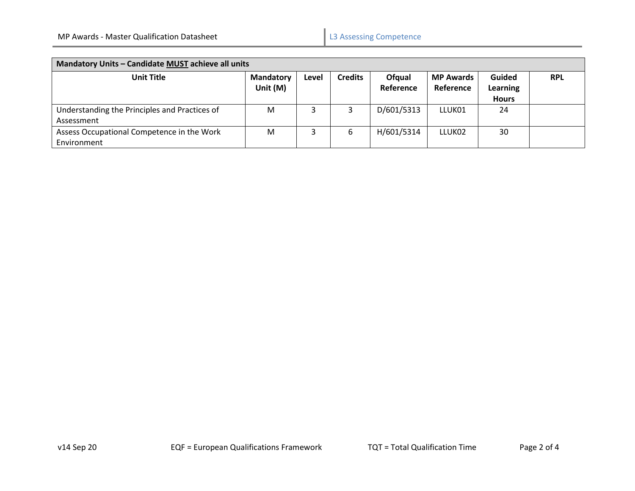| Mandatory Units - Candidate MUST achieve all units          |                                |       |                |                     |                               |                                           |            |
|-------------------------------------------------------------|--------------------------------|-------|----------------|---------------------|-------------------------------|-------------------------------------------|------------|
| <b>Unit Title</b>                                           | <b>Mandatory</b><br>Unit $(M)$ | Level | <b>Credits</b> | Ofqual<br>Reference | <b>MP Awards</b><br>Reference | Guided<br><b>Learning</b><br><b>Hours</b> | <b>RPL</b> |
| Understanding the Principles and Practices of<br>Assessment | M                              |       |                | D/601/5313          | LLUK01                        | 24                                        |            |
| Assess Occupational Competence in the Work<br>Environment   | M                              |       | 6              | H/601/5314          | LLUK <sub>02</sub>            | 30                                        |            |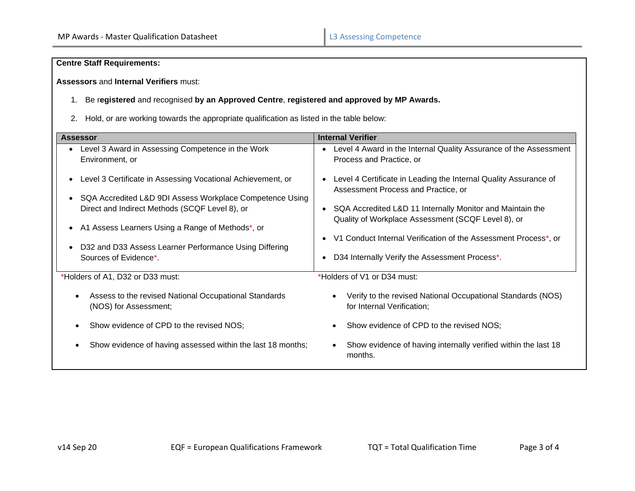# **Centre Staff Requirements:**

**Assessors** and **Internal Verifiers** must:

# 1. Be r**egistered** and recognised **by an Approved Centre**, **registered and approved by MP Awards.**

2. Hold, or are working towards the appropriate qualification as listed in the table below:

| <b>Assessor</b>                                                                                                                                                                                                                                                                                                                            | <b>Internal Verifier</b>                                                                                                                                                                                                                                                                                                                                                  |  |  |  |  |
|--------------------------------------------------------------------------------------------------------------------------------------------------------------------------------------------------------------------------------------------------------------------------------------------------------------------------------------------|---------------------------------------------------------------------------------------------------------------------------------------------------------------------------------------------------------------------------------------------------------------------------------------------------------------------------------------------------------------------------|--|--|--|--|
| Level 3 Award in Assessing Competence in the Work<br>Environment, or                                                                                                                                                                                                                                                                       | Level 4 Award in the Internal Quality Assurance of the Assessment<br>Process and Practice, or                                                                                                                                                                                                                                                                             |  |  |  |  |
| Level 3 Certificate in Assessing Vocational Achievement, or<br>$\bullet$<br>SQA Accredited L&D 9DI Assess Workplace Competence Using<br>Direct and Indirect Methods (SCQF Level 8), or<br>A1 Assess Learners Using a Range of Methods*, or<br>$\bullet$<br>D32 and D33 Assess Learner Performance Using Differing<br>Sources of Evidence*. | Level 4 Certificate in Leading the Internal Quality Assurance of<br>Assessment Process and Practice, or<br>SQA Accredited L&D 11 Internally Monitor and Maintain the<br>$\bullet$<br>Quality of Workplace Assessment (SCQF Level 8), or<br>V1 Conduct Internal Verification of the Assessment Process <sup>*</sup> , or<br>D34 Internally Verify the Assessment Process*. |  |  |  |  |
| *Holders of A1, D32 or D33 must:                                                                                                                                                                                                                                                                                                           | *Holders of V1 or D34 must:                                                                                                                                                                                                                                                                                                                                               |  |  |  |  |
| Assess to the revised National Occupational Standards<br>$\bullet$<br>(NOS) for Assessment;                                                                                                                                                                                                                                                | Verify to the revised National Occupational Standards (NOS)<br>for Internal Verification;                                                                                                                                                                                                                                                                                 |  |  |  |  |
| Show evidence of CPD to the revised NOS;                                                                                                                                                                                                                                                                                                   | Show evidence of CPD to the revised NOS;                                                                                                                                                                                                                                                                                                                                  |  |  |  |  |
| Show evidence of having assessed within the last 18 months;                                                                                                                                                                                                                                                                                | Show evidence of having internally verified within the last 18<br>months.                                                                                                                                                                                                                                                                                                 |  |  |  |  |